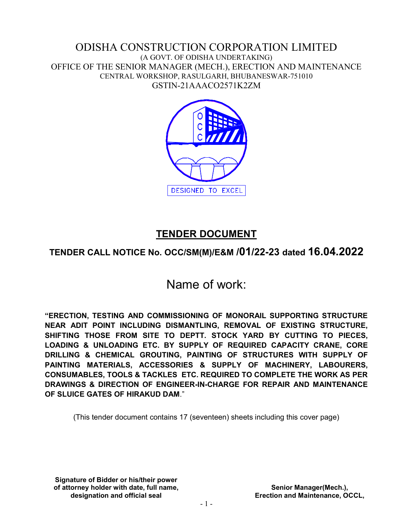## ODISHA CONSTRUCTION CORPORATION LIMITED (A GOVT. OF ODISHA UNDERTAKING) OFFICE OF THE SENIOR MANAGER (MECH.), ERECTION AND MAINTENANCE CENTRAL WORKSHOP, RASULGARH, BHUBANESWAR-751010 GSTIN-21AAACO2571K2ZM



# TENDER DOCUMENT

# TENDER CALL NOTICE No. OCC/SM(M)/E&M /01/22-23 dated 16.04.2022

# Name of work:

"ERECTION, TESTING AND COMMISSIONING OF MONORAIL SUPPORTING STRUCTURE NEAR ADIT POINT INCLUDING DISMANTLING, REMOVAL OF EXISTING STRUCTURE, SHIFTING THOSE FROM SITE TO DEPTT. STOCK YARD BY CUTTING TO PIECES, LOADING & UNLOADING ETC. BY SUPPLY OF REQUIRED CAPACITY CRANE, CORE DRILLING & CHEMICAL GROUTING, PAINTING OF STRUCTURES WITH SUPPLY OF PAINTING MATERIALS, ACCESSORIES & SUPPLY OF MACHINERY, LABOURERS, CONSUMABLES, TOOLS & TACKLES ETC. REQUIRED TO COMPLETE THE WORK AS PER DRAWINGS & DIRECTION OF ENGINEER-IN-CHARGE FOR REPAIR AND MAINTENANCE OF SLUICE GATES OF HIRAKUD DAM."

(This tender document contains 17 (seventeen) sheets including this cover page)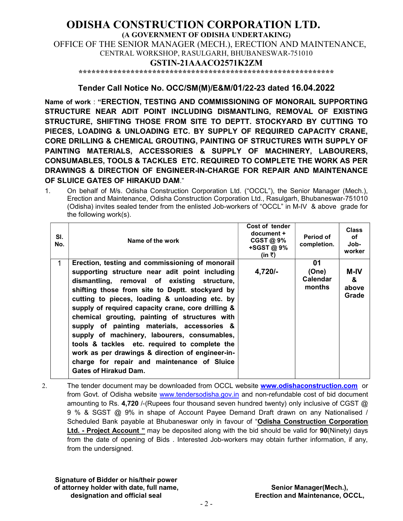## ODISHA CONSTRUCTION CORPORATION LTD. (A GOVERNMENT OF ODISHA UNDERTAKING) OFFICE OF THE SENIOR MANAGER (MECH.), ERECTION AND MAINTENANCE, CENTRAL WORKSHOP, RASULGARH, BHUBANESWAR-751010 GSTIN-21AAACO2571K2ZM

\*\*\*\*\*\*\*\*\*\*\*\*\*\*\*\*\*\*\*\*\*\*\*\*\*\*\*\*\*\*\*\*\*\*\*\*\*\*\*\*\*\*\*\*\*\*\*\*\*\*\*\*\*\*\*\*\*\*\*

## Tender Call Notice No. OCC/SM(M)/E&M/01/22-23 dated 16.04.2022

Name of work : "ERECTION, TESTING AND COMMISSIONING OF MONORAIL SUPPORTING STRUCTURE NEAR ADIT POINT INCLUDING DISMANTLING, REMOVAL OF EXISTING STRUCTURE, SHIFTING THOSE FROM SITE TO DEPTT. STOCKYARD BY CUTTING TO PIECES, LOADING & UNLOADING ETC. BY SUPPLY OF REQUIRED CAPACITY CRANE, CORE DRILLING & CHEMICAL GROUTING, PAINTING OF STRUCTURES WITH SUPPLY OF PAINTING MATERIALS, ACCESSORIES & SUPPLY OF MACHINERY, LABOURERS, CONSUMABLES, TOOLS & TACKLES ETC. REQUIRED TO COMPLETE THE WORK AS PER DRAWINGS & DIRECTION OF ENGINEER-IN-CHARGE FOR REPAIR AND MAINTENANCE OF SLUICE GATES OF HIRAKUD DAM."

1. On behalf of M/s. Odisha Construction Corporation Ltd. ("OCCL"), the Senior Manager (Mech.), Erection and Maintenance, Odisha Construction Corporation Ltd., Rasulgarh, Bhubaneswar-751010 (Odisha) invites sealed tender from the enlisted Job-workers of "OCCL" in M-IV & above grade for the following work(s).

| SI.<br>No. | Name of the work                                                                                                                                                                                                                                                                                                                                                                                                                                                                                                                                                                                                                                 | Cost of tender<br>document +<br><b>CGST@9%</b><br>+SGST@9%<br>(in ₹) | Period of<br>completion.                 | <b>Class</b><br>of<br>Job-<br>worker |
|------------|--------------------------------------------------------------------------------------------------------------------------------------------------------------------------------------------------------------------------------------------------------------------------------------------------------------------------------------------------------------------------------------------------------------------------------------------------------------------------------------------------------------------------------------------------------------------------------------------------------------------------------------------------|----------------------------------------------------------------------|------------------------------------------|--------------------------------------|
| 1          | Erection, testing and commissioning of monorail<br>supporting structure near adit point including<br>dismantling, removal of existing structure,<br>shifting those from site to Deptt. stockyard by<br>cutting to pieces, loading & unloading etc. by<br>supply of required capacity crane, core drilling &<br>chemical grouting, painting of structures with<br>supply of painting materials, accessories &<br>supply of machinery, labourers, consumables,<br>tools & tackles etc. required to complete the<br>work as per drawings & direction of engineer-in-<br>charge for repair and maintenance of Sluice<br><b>Gates of Hirakud Dam.</b> | 4,720/-                                                              | 01<br>(One)<br><b>Calendar</b><br>months | M-IV<br>&<br>above<br>Grade          |

2. The tender document may be downloaded from OCCL website www.odishaconstruction.com or from Govt. of Odisha website www.tendersodisha.gov.in and non-refundable cost of bid document amounting to Rs. 4,720 /-(Rupees four thousand seven hundred twenty) only inclusive of CGST  $\omega$ 9 % & SGST @ 9% in shape of Account Payee Demand Draft drawn on any Nationalised / Scheduled Bank payable at Bhubaneswar only in favour of "Odisha Construction Corporation Ltd. - Project Account " may be deposited along with the bid should be valid for 90(Ninety) days from the date of opening of Bids . Interested Job-workers may obtain further information, if any, from the undersigned.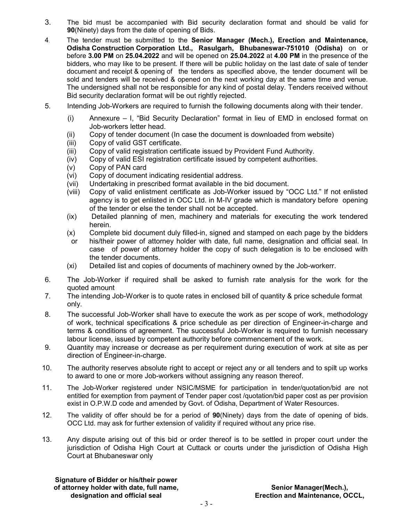- 3. The bid must be accompanied with Bid security declaration format and should be valid for 90(Ninety) days from the date of opening of Bids.
- 4. The tender must be submitted to the Senior Manager (Mech.), Erection and Maintenance, Odisha Construction Corporation Ltd., Rasulgarh, Bhubaneswar-751010 (Odisha) on or before 3.00 PM on 25.04.2022 and will be opened on 25.04.2022 at 4.00 PM in the presence of the bidders, who may like to be present. If there will be public holiday on the last date of sale of tender document and receipt & opening of the tenders as specified above, the tender document will be sold and tenders will be received & opened on the next working day at the same time and venue. The undersigned shall not be responsible for any kind of postal delay. Tenders received without Bid security declaration format will be out rightly rejected.
- 5. Intending Job-Workers are required to furnish the following documents along with their tender.
	- (i) Annexure I, "Bid Security Declaration" format in lieu of EMD in enclosed format on Job-workers letter head.
	- (ii) Copy of tender document (In case the document is downloaded from website)
	- (iii) Copy of valid GST certificate.
	- (iii) Copy of valid registration certificate issued by Provident Fund Authority.
	- (iv) Copy of valid ESI registration certificate issued by competent authorities.
	- (v) Copy of PAN card
	- (vi) Copy of document indicating residential address.
	- (vii) Undertaking in prescribed format available in the bid document.
	- (viii) Copy of valid enlistment certificate as Job-Worker issued by "OCC Ltd." If not enlisted agency is to get enlisted in OCC Ltd. in M-IV grade which is mandatory before opening of the tender or else the tender shall not be accepted.
	- (ix) Detailed planning of men, machinery and materials for executing the work tendered herein.
	- (x) Complete bid document duly filled-in, signed and stamped on each page by the bidders
	- or his/their power of attorney holder with date, full name, designation and official seal. In case of power of attorney holder the copy of such delegation is to be enclosed with the tender documents.
	- (xi) Detailed list and copies of documents of machinery owned by the Job-workerr.
- 6. The Job-Worker if required shall be asked to furnish rate analysis for the work for the quoted amount
- 7. The intending Job-Worker is to quote rates in enclosed bill of quantity & price schedule format only.
- 8. The successful Job-Worker shall have to execute the work as per scope of work, methodology of work, technical specifications & price schedule as per direction of Engineer-in-charge and terms & conditions of agreement. The successful Job-Worker is required to furnish necessary labour license, issued by competent authority before commencement of the work.
- 9. Quantity may increase or decrease as per requirement during execution of work at site as per direction of Engineer-in-charge.
- 10. The authority reserves absolute right to accept or reject any or all tenders and to spilt up works to award to one or more Job-workers without assigning any reason thereof.
- 11. The Job-Worker registered under NSIC/MSME for participation in tender/quotation/bid are not entitled for exemption from payment of Tender paper cost /quotation/bid paper cost as per provision exist in O.P.W.D code and amended by Govt. of Odisha, Department of Water Resources.
- 12. The validity of offer should be for a period of 90(Ninety) days from the date of opening of bids. OCC Ltd. may ask for further extension of validity if required without any price rise.
- 13. Any dispute arising out of this bid or order thereof is to be settled in proper court under the jurisdiction of Odisha High Court at Cuttack or courts under the jurisdiction of Odisha High Court at Bhubaneswar only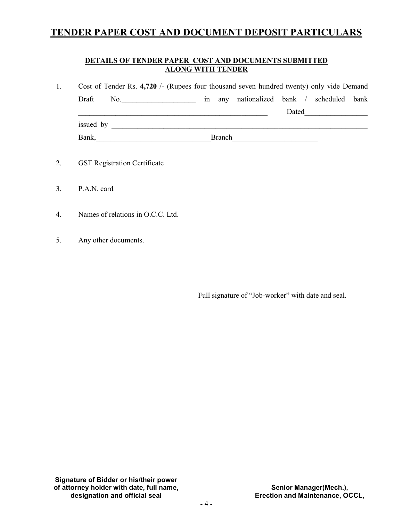## TENDER PAPER COST AND DOCUMENT DEPOSIT PARTICULARS

#### DETAILS OF TENDER PAPER COST AND DOCUMENTS SUBMITTED ALONG WITH TENDER

|  |           | Cost of Tender Rs. 4,720 /- (Rupees four thousand seven hundred twenty) only vide Demand |    |               |                                        |       |  |  |
|--|-----------|------------------------------------------------------------------------------------------|----|---------------|----------------------------------------|-------|--|--|
|  | Draft     | No.                                                                                      | 1n |               | any nationalized bank / scheduled bank |       |  |  |
|  |           |                                                                                          |    |               |                                        | Dated |  |  |
|  | issued by |                                                                                          |    |               |                                        |       |  |  |
|  | Bank,     |                                                                                          |    | <b>Branch</b> |                                        |       |  |  |

- 2. GST Registration Certificate
- 3. P.A.N. card
- 4. Names of relations in O.C.C. Ltd.
- 5. Any other documents.

Full signature of "Job-worker" with date and seal.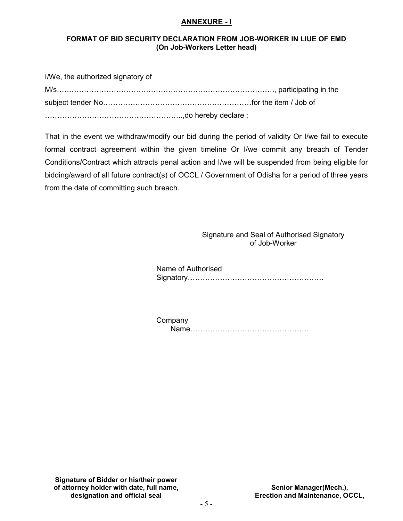## ANNEXURE - I

## FORMAT OF BID SECURITY DECLARATION FROM JOB-WORKER IN LIUE OF EMD (On Job-Workers Letter head)

| I/We, the authorized signatory of |  |
|-----------------------------------|--|
|                                   |  |
|                                   |  |
|                                   |  |

That in the event we withdraw/modify our bid during the period of validity Or I/we fail to execute formal contract agreement within the given timeline Or I/we commit any breach of Tender Conditions/Contract which attracts penal action and I/we will be suspended from being eligible for bidding/award of all future contract(s) of OCCL / Government of Odisha for a period of three years from the date of committing such breach.

#### Signature and Seal of Authorised Signatory of Job-Worker

Name of Authorised Signatory……………………………………………….

Company Name…………………………………………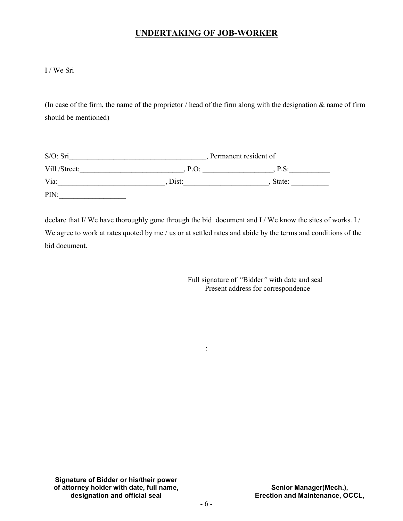## UNDERTAKING OF JOB-WORKER

#### I / We Sri

(In case of the firm, the name of the proprietor / head of the firm along with the designation & name of firm should be mentioned)

| S/O: Sri      |        | , Permanent resident of |  |  |  |  |
|---------------|--------|-------------------------|--|--|--|--|
| Vill /Street: | . P.O. | P.S:                    |  |  |  |  |
| Via:          | Dist:  | State:                  |  |  |  |  |
| PIN:          |        |                         |  |  |  |  |

declare that I/ We have thoroughly gone through the bid document and I / We know the sites of works. I / We agree to work at rates quoted by me / us or at settled rates and abide by the terms and conditions of the bid document.

:

 Full signature of "Bidder" with date and seal Present address for correspondence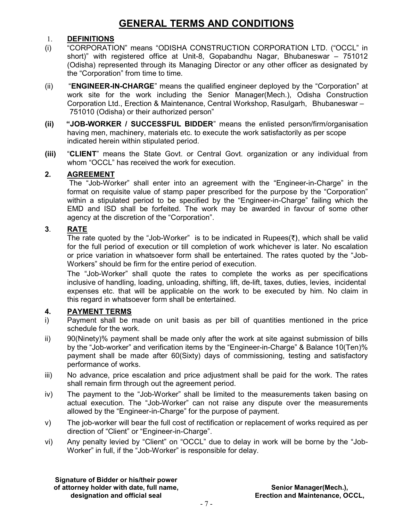## 1. DEFINITIONS

- (i) "CORPORATION" means "ODISHA CONSTRUCTION CORPORATION LTD. ("OCCL" in short)" with registered office at Unit-8, Gopabandhu Nagar, Bhubaneswar – 751012 (Odisha) represented through its Managing Director or any other officer as designated by the "Corporation" from time to time.
- (ii) "ENGINEER-IN-CHARGE" means the qualified engineer deployed by the "Corporation" at work site for the work including the Senior Manager(Mech.), Odisha Construction Corporation Ltd., Erection & Maintenance, Central Workshop, Rasulgarh, Bhubaneswar – 751010 (Odisha) or their authorized person"
- (ii) "JOB-WORKER / SUCCESSFUL BIDDER" means the enlisted person/firm/organisation having men, machinery, materials etc. to execute the work satisfactorily as per scope indicated herein within stipulated period.
- (iii) "CLIENT" means the State Govt. or Central Govt. organization or any individual from whom "OCCL" has received the work for execution.

#### 2. AGREEMENT

 The "Job-Worker" shall enter into an agreement with the "Engineer-in-Charge" in the format on requisite value of stamp paper prescribed for the purpose by the "Corporation" within a stipulated period to be specified by the "Engineer-in-Charge" failing which the EMD and ISD shall be forfeited. The work may be awarded in favour of some other agency at the discretion of the "Corporation".

## 3. RATE

The rate quoted by the "Job-Worker" is to be indicated in Rupees( $\bar{\tau}$ ), which shall be valid for the full period of execution or till completion of work whichever is later. No escalation or price variation in whatsoever form shall be entertained. The rates quoted by the "Job- Workers" should be firm for the entire period of execution.

The "Job-Worker" shall quote the rates to complete the works as per specifications inclusive of handling, loading, unloading, shifting, lift, de-lift, taxes, duties, levies, incidental expenses etc. that will be applicable on the work to be executed by him. No claim in this regard in whatsoever form shall be entertained.

## 4. PAYMENT TERMS

- i) Payment shall be made on unit basis as per bill of quantities mentioned in the price schedule for the work.
- ii) 90(Ninety)% payment shall be made only after the work at site against submission of bills by the "Job-worker" and verification items by the "Engineer-in-Charge" & Balance 10(Ten)% payment shall be made after 60(Sixty) days of commissioning, testing and satisfactory performance of works.
- iii) No advance, price escalation and price adjustment shall be paid for the work. The rates shall remain firm through out the agreement period.
- iv) The payment to the "Job-Worker" shall be limited to the measurements taken basing on actual execution. The "Job-Worker" can not raise any dispute over the measurements allowed by the "Engineer-in-Charge" for the purpose of payment.
- v) The job-worker will bear the full cost of rectification or replacement of works required as per direction of "Client" or "Engineer-in-Charge".
- vi) Any penalty levied by "Client" on "OCCL" due to delay in work will be borne by the "Job-Worker" in full, if the "Job-Worker" is responsible for delay.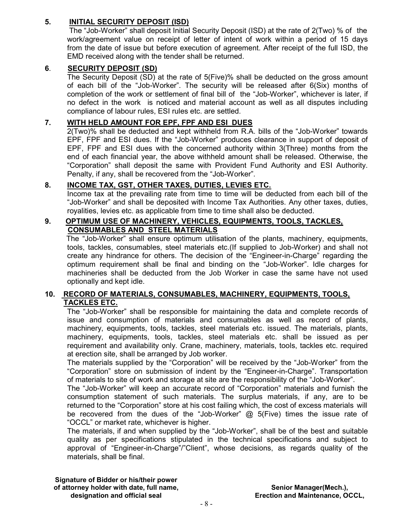## 5. INITIAL SECURITY DEPOSIT (ISD)

 The "Job-Worker" shall deposit Initial Security Deposit (ISD) at the rate of 2(Two) % of the work/agreement value on receipt of letter of intent of work within a period of 15 days from the date of issue but before execution of agreement. After receipt of the full ISD, the EMD received along with the tender shall be returned.

## 6. SECURITY DEPOSIT (SD)

The Security Deposit (SD) at the rate of 5(Five)% shall be deducted on the gross amount of each bill of the "Job-Worker". The security will be released after 6(Six) months of completion of the work or settlement of final bill of the "Job-Worker", whichever is later, if no defect in the work is noticed and material account as well as all disputes including compliance of labour rules, ESI rules etc. are settled.

## 7. WITH HELD AMOUNT FOR EPF, FPF AND ESI DUES

2(Two)% shall be deducted and kept withheld from R.A. bills of the "Job-Worker" towards EPF, FPF and ESI dues. If the "Job-Worker" produces clearance in support of deposit of EPF, FPF and ESI dues with the concerned authority within 3(Three) months from the end of each financial year, the above withheld amount shall be released. Otherwise, the "Corporation" shall deposit the same with Provident Fund Authority and ESI Authority. Penalty, if any, shall be recovered from the "Job-Worker".

## 8. INCOME TAX, GST, OTHER TAXES, DUTIES, LEVIES ETC.

 Income tax at the prevailing rate from time to time will be deducted from each bill of the "Job-Worker" and shall be deposited with Income Tax Authorities. Any other taxes, duties, royalities, levies etc. as applicable from time to time shall also be deducted.

## 9. OPTIMUM USE OF MACHINERY, VEHICLES, EQUIPMENTS, TOOLS, TACKLES, CONSUMABLES AND STEEL MATERIALS

 The "Job-Worker" shall ensure optimum utilisation of the plants, machinery, equipments, tools, tackles, consumables, steel materials etc.(If supplied to Job-Worker) and shall not create any hindrance for others. The decision of the "Engineer-in-Charge" regarding the optimum requirement shall be final and binding on the "Job-Worker". Idle charges for machineries shall be deducted from the Job Worker in case the same have not used optionally and kept idle.

## 10. RECORD OF MATERIALS, CONSUMABLES, MACHINERY, EQUIPMENTS, TOOLS, TACKLES ETC.

The "Job-Worker" shall be responsible for maintaining the data and complete records of issue and consumption of materials and consumables as well as record of plants, machinery, equipments, tools, tackles, steel materials etc. issued. The materials, plants, machinery, equipments, tools, tackles, steel materials etc. shall be issued as per requirement and availability only. Crane, machinery, materials, tools, tackles etc. required at erection site, shall be arranged by Job worker.

The materials supplied by the "Corporation" will be received by the "Job-Worker" from the "Corporation" store on submission of indent by the "Engineer-in-Charge". Transportation of materials to site of work and storage at site are the responsibility of the "Job-Worker".

The "Job-Worker" will keep an accurate record of "Corporation" materials and furnish the consumption statement of such materials. The surplus materials, if any, are to be returned to the "Corporation" store at his cost failing which, the cost of excess materials will be recovered from the dues of the "Job-Worker" @ 5(Five) times the issue rate of "OCCL" or market rate, whichever is higher.

The materials, if and when supplied by the "Job-Worker", shall be of the best and suitable quality as per specifications stipulated in the technical specifications and subject to approval of "Engineer-in-Charge"/"Client", whose decisions, as regards quality of the materials, shall be final.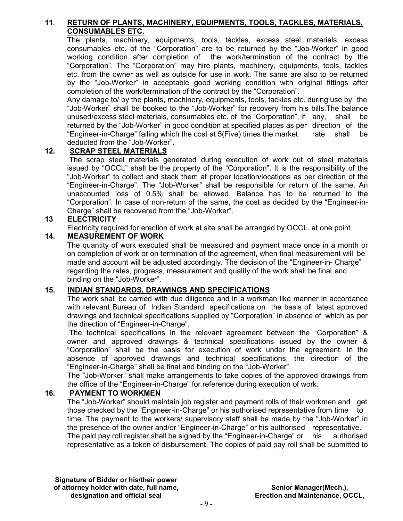## 11. RETURN OF PLANTS, MACHINERY, EQUIPMENTS, TOOLS, TACKLES, MATERIALS, CONSUMABLES ETC.

 The plants, machinery, equipments, tools, tackles, excess steel materials, excess consumables etc. of the "Corporation" are to be returned by the "Job-Worker" in good working condition after completion of the work/termination of the contract by the "Corporation". The "Corporation" may hire plants, machinery, equipments, tools, tackles etc. from the owner as well as outside for use in work. The same are also to be returned by the "Job-Worker" in acceptable good working condition with original fittings after completion of the work/termination of the contract by the "Corporation".

Any damage to/ by the plants, machinery, equipments, tools, tackles etc. during use by the "Job-Worker" shall be booked to the "Job-Worker" for recovery from his bills.The balance unused/excess steel materials, consumables etc. of the "Corporation", if any, shall be returned by the "Job-Worker" in good condition at specified places as per direction of the "Engineer-in-Charge" failing which the cost at 5(Five) times the market rate shall be deducted from the "Job-Worker".

#### 12. SCRAP STEEL MATERIALS

 The scrap steel materials generated during execution of work out of steel materials issued by "OCCL" shall be the property of the "Corporation". It is the responsibility of the "Job-Worker" to collect and stack them at proper location/locations as per direction of the "Engineer-in-Charge". The "Job-Worker" shall be responsible for return of the same. An unaccounted loss of 0.5% shall be allowed. Balance has to be returned to the "Corporation". In case of non-return of the same, the cost as decided by the "Engineer-in- Charge" shall be recovered from the "Job-Worker".

## 13 ELECTRICITY

Electricity required for erection of work at site shall be arranged by OCCL. at one point.

#### 14. MEASUREMENT OF WORK

The quantity of work executed shall be measured and payment made once in a month or on completion of work or on termination of the agreement, when final measurement will be made and account will be adjusted accordingly. The decision of the "Engineer-in- Charge" regarding the rates, progress, measurement and quality of the work shall be final and binding on the "Job-Worker".

#### 15. INDIAN STANDARDS, DRAWINGS AND SPECIFICATIONS

The work shall be carried with due diligence and in a workman like manner in accordance with relevant Bureau of Indian Standard specifications on the basis of latest approved drawings and technical specifications supplied by "Corporation" in absence of which as per the direction of "Engineer-in-Charge".

.The technical specifications in the relevant agreement between the "Corporation" & owner and approved drawings & technical specifications issued by the owner & "Corporation" shall be the basis for execution of work under the agreement. In the absence of approved drawings and technical specifications, the direction of the "Engineer-in-Charge" shall be final and binding on the "Job-Worker".

The "Job-Worker" shall make arrangements to take copies of the approved drawings from the office of the "Engineer-in-Charge" for reference during execution of work.

## 16. PAYMENT TO WORKMEN

The "Job-Worker" should maintain job register and payment rolls of their workmen and get those checked by the "Engineer-in-Charge" or his authorised representative from time to time. The payment to the workers/ supervisory staff shall be made by the "Job-Worker" in the presence of the owner and/or "Engineer-in-Charge" or his authorised representative. The paid pay roll register shall be signed by the "Engineer-in-Charge" or his authorised

representative as a token of disbursement. The copies of paid pay roll shall be submitted to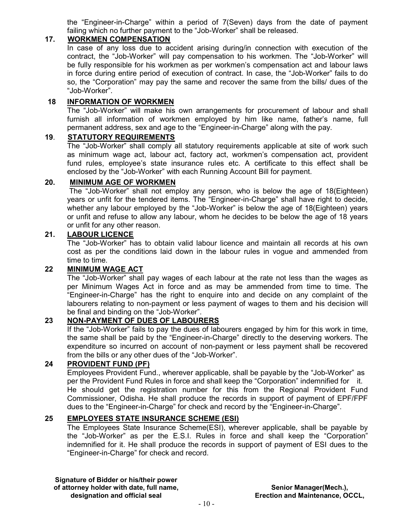the "Engineer-in-Charge" within a period of 7(Seven) days from the date of payment failing which no further payment to the "Job-Worker" shall be released.

#### 17. WORKMEN COMPENSATION

In case of any loss due to accident arising during/in connection with execution of the contract, the "Job-Worker" will pay compensation to his workmen. The "Job-Worker" will be fully responsible for his workmen as per workmen's compensation act and labour laws in force during entire period of execution of contract. In case, the "Job-Worker" fails to do so, the "Corporation" may pay the same and recover the same from the bills/ dues of the "Job-Worker".

#### 18 INFORMATION OF WORKMEN

The "Job-Worker" will make his own arrangements for procurement of labour and shall furnish all information of workmen employed by him like name, father's name, full permanent address, sex and age to the "Engineer-in-Charge" along with the pay.

#### 19. STATUTORY REQUIREMENTS

The "Job-Worker" shall comply all statutory requirements applicable at site of work such as minimum wage act, labour act, factory act, workmen's compensation act, provident fund rules, employee's state insurance rules etc. A certificate to this effect shall be enclosed by the "Job-Worker" with each Running Account Bill for payment.

#### 20. MINIMUM AGE OF WORKMEN

 The "Job-Worker" shall not employ any person, who is below the age of 18(Eighteen) years or unfit for the tendered items. The "Engineer-in-Charge" shall have right to decide, whether any labour employed by the "Job-Worker" is below the age of 18(Eighteen) years or unfit and refuse to allow any labour, whom he decides to be below the age of 18 years or unfit for any other reason.

#### 21. LABOUR LICENCE

The "Job-Worker" has to obtain valid labour licence and maintain all records at his own cost as per the conditions laid down in the labour rules in vogue and ammended from time to time.

#### 22 MINIMUM WAGE ACT

The "Job-Worker" shall pay wages of each labour at the rate not less than the wages as per Minimum Wages Act in force and as may be ammended from time to time. The "Engineer-in-Charge" has the right to enquire into and decide on any complaint of the labourers relating to non-payment or less payment of wages to them and his decision will be final and binding on the "Job-Worker".

## 23 NON-PAYMENT OF DUES OF LABOURERS

If the "Job-Worker" fails to pay the dues of labourers engaged by him for this work in time, the same shall be paid by the "Engineer-in-Charge" directly to the deserving workers. The expenditure so incurred on account of non-payment or less payment shall be recovered from the bills or any other dues of the "Job-Worker".

#### 24 PROVIDENT FUND (PF)

Employees Provident Fund., wherever applicable, shall be payable by the "Job-Worker" as per the Provident Fund Rules in force and shall keep the "Corporation" indemnified for it. He should get the registration number for this from the Regional Provident Fund Commissioner, Odisha. He shall produce the records in support of payment of EPF/FPF dues to the "Engineer-in-Charge" for check and record by the "Engineer-in-Charge".

#### 25 EMPLOYEES STATE INSURANCE SCHEME (ESI)

The Employees State Insurance Scheme(ESI), wherever applicable, shall be payable by the "Job-Worker" as per the E.S.I. Rules in force and shall keep the "Corporation" indemnified for it. He shall produce the records in support of payment of ESI dues to the "Engineer-in-Charge" for check and record.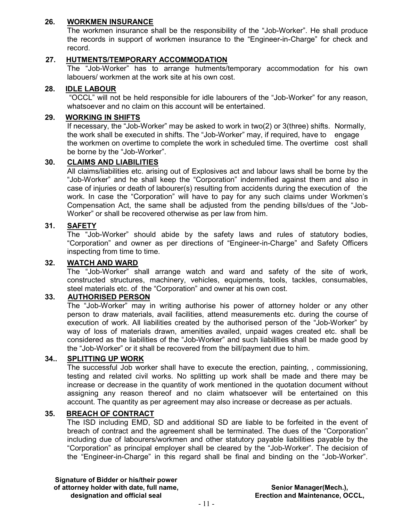#### 26. WORKMEN INSURANCE

The workmen insurance shall be the responsibility of the "Job-Worker". He shall produce the records in support of workmen insurance to the "Engineer-in-Charge" for check and record.

#### 27. HUTMENTS/TEMPORARY ACCOMMODATION

The "Job-Worker" has to arrange hutments/temporary accommodation for his own labouers/ workmen at the work site at his own cost.

## 28. IDLE LABOUR

 "OCCL" will not be held responsible for idle labourers of the "Job-Worker" for any reason, whatsoever and no claim on this account will be entertained.

#### 29. WORKING IN SHIFTS

If necessary, the "Job-Worker" may be asked to work in two(2) or 3(three) shifts. Normally, the work shall be executed in shifts. The "Job-Worker" may, if required, have to engage the workmen on overtime to complete the work in scheduled time. The overtime cost shall be borne by the "Job-Worker".

#### 30. CLAIMS AND LIABILITIES

 All claims/liabilities etc. arising out of Explosives act and labour laws shall be borne by the "Job-Worker" and he shall keep the "Corporation" indemnified against them and also in case of injuries or death of labourer(s) resulting from accidents during the execution of the work. In case the "Corporation" will have to pay for any such claims under Workmen's Compensation Act, the same shall be adjusted from the pending bills/dues of the "Job- Worker" or shall be recovered otherwise as per law from him.

#### 31. SAFETY

The "Job-Worker" should abide by the safety laws and rules of statutory bodies, "Corporation" and owner as per directions of "Engineer-in-Charge" and Safety Officers inspecting from time to time.

#### 32. WATCH AND WARD

The "Job-Worker" shall arrange watch and ward and safety of the site of work, constructed structures, machinery, vehicles, equipments, tools, tackles, consumables, steel materials etc. of the "Corporation" and owner at his own cost.

#### 33. AUTHORISED PERSON

The "Job-Worker" may in writing authorise his power of attorney holder or any other person to draw materials, avail facilities, attend measurements etc. during the course of execution of work. All liabilities created by the authorised person of the "Job-Worker" by way of loss of materials drawn, amenities availed, unpaid wages created etc. shall be considered as the liabilities of the "Job-Worker" and such liabilities shall be made good by the "Job-Worker" or it shall be recovered from the bill/payment due to him.

#### 34.. SPLITTING UP WORK

The successful Job worker shall have to execute the erection, painting, , commissioning, testing and related civil works. No splitting up work shall be made and there may be increase or decrease in the quantity of work mentioned in the quotation document without assigning any reason thereof and no claim whatsoever will be entertained on this account. The quantity as per agreement may also increase or decrease as per actuals.

## 35. BREACH OF CONTRACT

The ISD including EMD, SD and additional SD are liable to be forfeited in the event of breach of contract and the agreement shall be terminated. The dues of the "Corporation" including due of labourers/workmen and other statutory payable liabilities payable by the "Corporation" as principal employer shall be cleared by the "Job-Worker". The decision of the "Engineer-in-Charge" in this regard shall be final and binding on the "Job-Worker".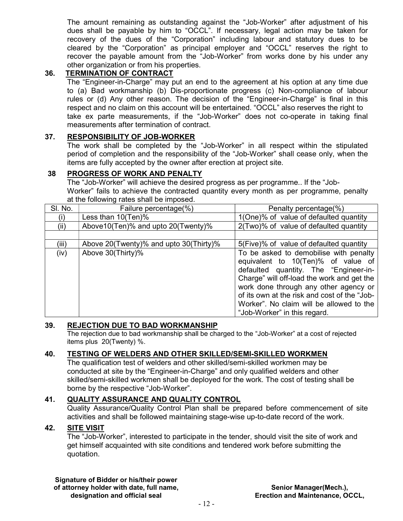The amount remaining as outstanding against the "Job-Worker" after adjustment of his dues shall be payable by him to "OCCL". If necessary, legal action may be taken for recovery of the dues of the "Corporation" including labour and statutory dues to be cleared by the "Corporation" as principal employer and "OCCL" reserves the right to recover the payable amount from the "Job-Worker" from works done by his under any other organization or from his properties.

## 36. TERMINATION OF CONTRACT

The "Engineer-in-Charge" may put an end to the agreement at his option at any time due to (a) Bad workmanship (b) Dis-proportionate progress (c) Non-compliance of labour rules or (d) Any other reason. The decision of the "Engineer-in-Charge" is final in this respect and no claim on this account will be entertained. "OCCL" also reserves the right to take ex parte measurements, if the "Job-Worker" does not co-operate in taking final measurements after termination of contract.

#### 37. RESPONSIBILITY OF JOB-WORKER

The work shall be completed by the "Job-Worker" in all respect within the stipulated period of completion and the responsibility of the "Job-Worker" shall cease only, when the items are fully accepted by the owner after erection at project site.

## 38 PROGRESS OF WORK AND PENALTY

 The "Job-Worker" will achieve the desired progress as per programme.. If the "Job- Worker" fails to achieve the contracted quantity every month as per programme, penalty at the following rates shall be imposed.

| SI. No. | Failure percentage(%)<br>Penalty percentage(%) |                                                                                                                                                                                                                                                                                                                                          |  |  |  |
|---------|------------------------------------------------|------------------------------------------------------------------------------------------------------------------------------------------------------------------------------------------------------------------------------------------------------------------------------------------------------------------------------------------|--|--|--|
| (i)     | Less than $10(Ten)\%$                          | 1(One)% of value of defaulted quantity                                                                                                                                                                                                                                                                                                   |  |  |  |
| (ii)    | Above 10 (Ten)% and upto 20 (Twenty)%          | 2(Two)% of value of defaulted quantity                                                                                                                                                                                                                                                                                                   |  |  |  |
|         |                                                |                                                                                                                                                                                                                                                                                                                                          |  |  |  |
| (iii)   | Above 20(Twenty)% and upto 30(Thirty)%         | 5(Five)% of value of defaulted quantity                                                                                                                                                                                                                                                                                                  |  |  |  |
| (iv)    | Above 30(Thirty)%                              | To be asked to demobilise with penalty<br>equivalent to 10(Ten)% of value of<br>defaulted quantity. The "Engineer-in-<br>Charge" will off-load the work and get the<br>work done through any other agency or<br>of its own at the risk and cost of the "Job-<br>Worker". No claim will be allowed to the<br>"Job-Worker" in this regard. |  |  |  |

#### 39. REJECTION DUE TO BAD WORKMANSHIP

The rejection due to bad workmanship shall be charged to the "Job-Worker" at a cost of rejected items plus 20(Twenty) %.

## 40. TESTING OF WELDERS AND OTHER SKILLED/SEMI-SKILLED WORKMEN

 The qualification test of welders and other skilled/semi-skilled workmen may be conducted at site by the "Engineer-in-Charge" and only qualified welders and other skilled/semi-skilled workmen shall be deployed for the work. The cost of testing shall be borne by the respective "Job-Worker".

## 41. QUALITY ASSURANCE AND QUALITY CONTROL

Quality Assurance/Quality Control Plan shall be prepared before commencement of site activities and shall be followed maintaining stage-wise up-to-date record of the work.

#### 42. SITE VISIT

 The "Job-Worker", interested to participate in the tender, should visit the site of work and get himself acquainted with site conditions and tendered work before submitting the quotation.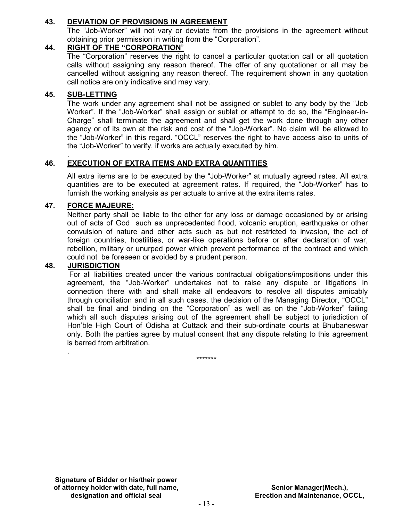## 43. DEVIATION OF PROVISIONS IN AGREEMENT

The "Job-Worker" will not vary or deviate from the provisions in the agreement without obtaining prior permission in writing from the "Corporation".

## 44. RIGHT OF THE "CORPORATION"

The "Corporation" reserves the right to cancel a particular quotation call or all quotation calls without assigning any reason thereof. The offer of any quotationer or all may be cancelled without assigning any reason thereof. The requirement shown in any quotation call notice are only indicative and may vary.

#### 45. SUB-LETTING

The work under any agreement shall not be assigned or sublet to any body by the "Job Worker". If the "Job-Worker" shall assign or sublet or attempt to do so, the "Engineer-in- Charge" shall terminate the agreement and shall get the work done through any other agency or of its own at the risk and cost of the "Job-Worker". No claim will be allowed to the "Job-Worker" in this regard. "OCCL" reserves the right to have access also to units of the "Job-Worker" to verify, if works are actually executed by him.

#### . 46. EXECUTION OF EXTRA ITEMS AND EXTRA QUANTITIES

All extra items are to be executed by the "Job-Worker" at mutually agreed rates. All extra quantities are to be executed at agreement rates. If required, the "Job-Worker" has to furnish the working analysis as per actuals to arrive at the extra items rates.

#### 47. FORCE MAJEURE:

Neither party shall be liable to the other for any loss or damage occasioned by or arising out of acts of God such as unprecedented flood, volcanic eruption, earthquake or other convulsion of nature and other acts such as but not restricted to invasion, the act of foreign countries, hostilities, or war-like operations before or after declaration of war, rebellion, military or unurped power which prevent performance of the contract and which could not be foreseen or avoided by a prudent person.

#### 48. JURISDICTION

.

 For all liabilities created under the various contractual obligations/impositions under this agreement, the "Job-Worker" undertakes not to raise any dispute or litigations in connection there with and shall make all endeavors to resolve all disputes amicably through conciliation and in all such cases, the decision of the Managing Director, "OCCL" shall be final and binding on the "Corporation" as well as on the "Job-Worker" failing which all such disputes arising out of the agreement shall be subject to jurisdiction of Hon'ble High Court of Odisha at Cuttack and their sub-ordinate courts at Bhubaneswar only. Both the parties agree by mutual consent that any dispute relating to this agreement is barred from arbitration.

\*\*\*\*\*\*\*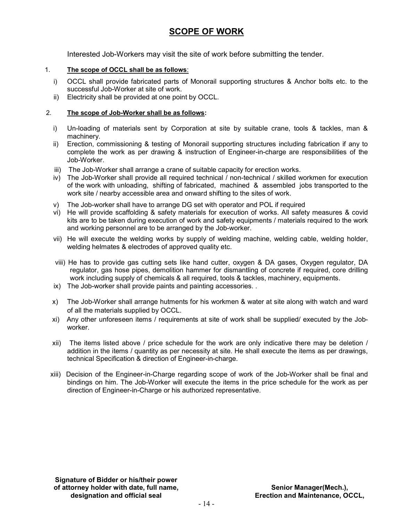## SCOPE OF WORK

Interested Job-Workers may visit the site of work before submitting the tender.

#### 1. The scope of OCCL shall be as follows:

- i) OCCL shall provide fabricated parts of Monorail supporting structures & Anchor bolts etc. to the successful Job-Worker at site of work.
- ii) Electricity shall be provided at one point by OCCL.

#### 2. The scope of Job-Worker shall be as follows:

- i) Un-loading of materials sent by Corporation at site by suitable crane, tools & tackles, man & machinery.
- ii) Erection, commissioning & testing of Monorail supporting structures including fabrication if any to complete the work as per drawing & instruction of Engineer-in-charge are responsibilities of the Job-Worker.
- iii) The Job-Worker shall arrange a crane of suitable capacity for erection works.
- iv) The Job-Worker shall provide all required technical / non-technical / skilled workmen for execution of the work with unloading, shifting of fabricated, machined & assembled jobs transported to the work site / nearby accessible area and onward shifting to the sites of work.
- v) The Job-worker shall have to arrange DG set with operator and POL if required
- vi) He will provide scaffolding & safety materials for execution of works. All safety measures & covid kits are to be taken during execution of work and safety equipments / materials required to the work and working personnel are to be arranged by the Job-worker.
- vii) He will execute the welding works by supply of welding machine, welding cable, welding holder, welding helmates & electrodes of approved quality etc.
- viii) He has to provide gas cutting sets like hand cutter, oxygen & DA gases, Oxygen regulator, DA regulator, gas hose pipes, demolition hammer for dismantling of concrete if required, core drilling work including supply of chemicals & all required, tools & tackles, machinery, equipments.
- ix) The Job-worker shall provide paints and painting accessories. .
- x) The Job-Worker shall arrange hutments for his workmen & water at site along with watch and ward of all the materials supplied by OCCL.
- xi) Any other unforeseen items / requirements at site of work shall be supplied/ executed by the Jobworker.
- xii) The items listed above / price schedule for the work are only indicative there may be deletion / addition in the items / quantity as per necessity at site. He shall execute the items as per drawings, technical Specification & direction of Engineer-in-charge.
- xiii) Decision of the Engineer-in-Charge regarding scope of work of the Job-Worker shall be final and bindings on him. The Job-Worker will execute the items in the price schedule for the work as per direction of Engineer-in-Charge or his authorized representative.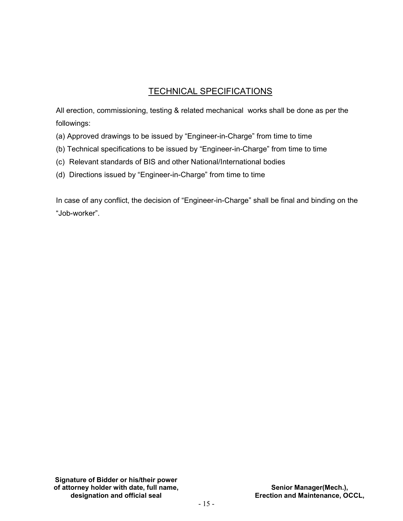# TECHNICAL SPECIFICATIONS

All erection, commissioning, testing & related mechanical works shall be done as per the followings:

- (a) Approved drawings to be issued by "Engineer-in-Charge" from time to time
- (b) Technical specifications to be issued by "Engineer-in-Charge" from time to time
- (c) Relevant standards of BIS and other National/International bodies
- (d) Directions issued by "Engineer-in-Charge" from time to time

In case of any conflict, the decision of "Engineer-in-Charge" shall be final and binding on the "Job-worker".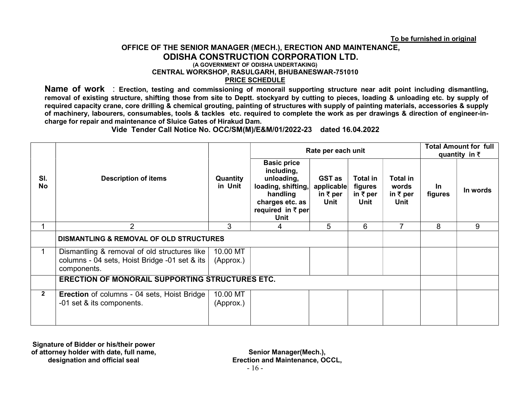To be furnished in original

#### OFFICE OF THE SENIOR MANAGER (MECH.), ERECTION AND MAINTENANCE, ODISHA CONSTRUCTION CORPORATION LTD. (A GOVERNMENT OF ODISHA UNDERTAKING) CENTRAL WORKSHOP, RASULGARH, BHUBANESWAR-751010 PRICE SCHEDULE

Name of work : Erection, testing and commissioning of monorail supporting structure near adit point including dismantling, removal of existing structure, shifting those from site to Deptt. stockyard by cutting to pieces, loading & unloading etc. by supply of required capacity crane, core drilling & chemical grouting, painting of structures with supply of painting materials, accessories & supply of machinery, labourers, consumables, tools & tackles etc. required to complete the work as per drawings & direction of engineer-incharge for repair and maintenance of Sluice Gates of Hirakud Dam.

Vide Tender Call Notice No. OCC/SM(M)/E&M/01/2022-23 dated 16.04.2022

|                  |                                                                                                              |                       | Rate per each unit                                                                                                                          |                                                            |                                                           |                                                  | <b>Total Amount for full</b><br>quantity in $\bar{\tau}$ |          |
|------------------|--------------------------------------------------------------------------------------------------------------|-----------------------|---------------------------------------------------------------------------------------------------------------------------------------------|------------------------------------------------------------|-----------------------------------------------------------|--------------------------------------------------|----------------------------------------------------------|----------|
| SI.<br><b>No</b> | <b>Description of items</b>                                                                                  | Quantity<br>in Unit   | <b>Basic price</b><br>including,<br>unloading,<br>loading, shifting,<br>handling<br>charges etc. as<br>required in $\bar{\tau}$ per<br>Unit | <b>GST</b> as<br>applicable<br>in $\bar{\tau}$ per<br>Unit | <b>Total in</b><br>figures<br>in $\bar{\tau}$ per<br>Unit | Total in<br>words<br>in $\bar{\tau}$ per<br>Unit | <u>In</u><br>figures                                     | In words |
|                  | $\overline{2}$                                                                                               | 3                     | 4                                                                                                                                           | 5                                                          | 6                                                         | 7                                                | 8                                                        | 9        |
|                  | <b>DISMANTLING &amp; REMOVAL OF OLD STRUCTURES</b>                                                           |                       |                                                                                                                                             |                                                            |                                                           |                                                  |                                                          |          |
|                  | Dismantling & removal of old structures like<br>columns - 04 sets, Hoist Bridge -01 set & its<br>components. | 10.00 MT<br>(Approx.) |                                                                                                                                             |                                                            |                                                           |                                                  |                                                          |          |
|                  | <b>ERECTION OF MONORAIL SUPPORTING STRUCTURES ETC.</b>                                                       |                       |                                                                                                                                             |                                                            |                                                           |                                                  |                                                          |          |
| $\mathbf{2}$     | <b>Erection</b> of columns - 04 sets, Hoist Bridge<br>-01 set & its components.                              | 10.00 MT<br>(Approx.) |                                                                                                                                             |                                                            |                                                           |                                                  |                                                          |          |

Senior Manager(Mech.), Erection and Maintenance, OCCL,  $-16 -$